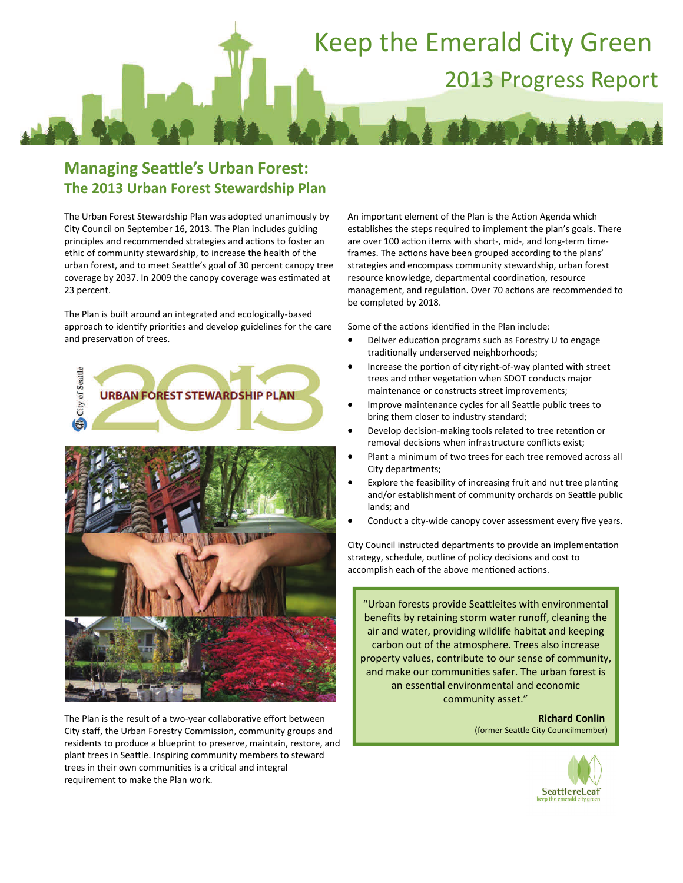# Keep the Emerald City Green 2013 Progress Report

### **Managing SeaƩle's Urban Forest: The 2013 Urban Forest Stewardship Plan**

The Urban Forest Stewardship Plan was adopted unanimously by City Council on September 16, 2013. The Plan includes guiding principles and recommended strategies and actions to foster an ethic of community stewardship, to increase the health of the urban forest, and to meet Seattle's goal of 30 percent canopy tree coverage by 2037. In 2009 the canopy coverage was estimated at 23 percent.

The Plan is built around an integrated and ecologically‐based approach to identify priorities and develop guidelines for the care and preservation of trees.



The Plan is the result of a two-year collaborative effort between City staff, the Urban Forestry Commission, community groups and residents to produce a blueprint to preserve, maintain, restore, and plant trees in Seattle. Inspiring community members to steward trees in their own communities is a critical and integral requirement to make the Plan work.

An important element of the Plan is the Action Agenda which establishes the steps required to implement the plan's goals. There are over 100 action items with short-, mid-, and long-term timeframes. The actions have been grouped according to the plans' strategies and encompass community stewardship, urban forest resource knowledge, departmental coordination, resource management, and regulation. Over 70 actions are recommended to be completed by 2018.

Some of the actions identified in the Plan include:

- Deliver education programs such as Forestry U to engage traditionally underserved neighborhoods;
- Increase the portion of city right-of-way planted with street trees and other vegetation when SDOT conducts major maintenance or constructs street improvements;
- Improve maintenance cycles for all Seattle public trees to bring them closer to industry standard;
- Develop decision-making tools related to tree retention or removal decisions when infrastructure conflicts exist;
- Plant a minimum of two trees for each tree removed across all City departments;
- Explore the feasibility of increasing fruit and nut tree planting and/or establishment of community orchards on Seattle public lands; and
- Conduct a city‐wide canopy cover assessment every five years.

City Council instructed departments to provide an implementation strategy, schedule, outline of policy decisions and cost to accomplish each of the above mentioned actions.

"Urban forests provide SeaƩleites with environmental benefits by retaining storm water runoff, cleaning the air and water, providing wildlife habitat and keeping carbon out of the atmosphere. Trees also increase property values, contribute to our sense of community, and make our communities safer. The urban forest is an essential environmental and economic community asset."

> **Richard Conlin** (former SeaƩle City Councilmember)

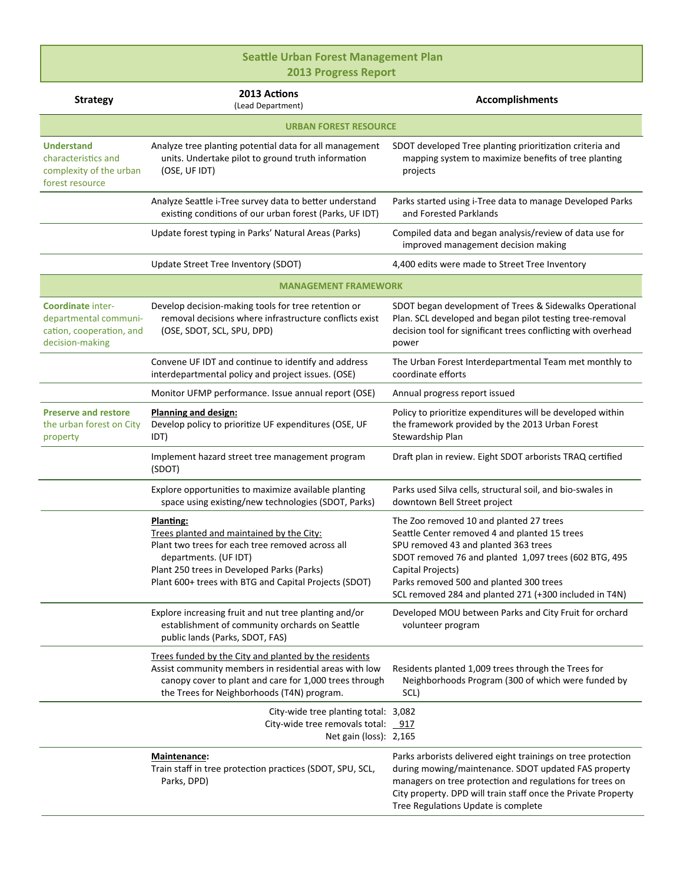### **Seattle Urban Forest Management Plan** 2013 Progress Report

| <b>Strategy</b>                                                                           | 2013 Actions<br>(Lead Department)                                                                                                                                                                                                          | <b>Accomplishments</b>                                                                                                                                                                                                                                                                                              |  |
|-------------------------------------------------------------------------------------------|--------------------------------------------------------------------------------------------------------------------------------------------------------------------------------------------------------------------------------------------|---------------------------------------------------------------------------------------------------------------------------------------------------------------------------------------------------------------------------------------------------------------------------------------------------------------------|--|
| <b>URBAN FOREST RESOURCE</b>                                                              |                                                                                                                                                                                                                                            |                                                                                                                                                                                                                                                                                                                     |  |
| <b>Understand</b><br>characteristics and<br>complexity of the urban<br>forest resource    | Analyze tree planting potential data for all management<br>units. Undertake pilot to ground truth information<br>(OSE, UF IDT)                                                                                                             | SDOT developed Tree planting prioritization criteria and<br>mapping system to maximize benefits of tree planting<br>projects                                                                                                                                                                                        |  |
|                                                                                           | Analyze Seattle i-Tree survey data to better understand<br>existing conditions of our urban forest (Parks, UF IDT)                                                                                                                         | Parks started using i-Tree data to manage Developed Parks<br>and Forested Parklands                                                                                                                                                                                                                                 |  |
|                                                                                           | Update forest typing in Parks' Natural Areas (Parks)                                                                                                                                                                                       | Compiled data and began analysis/review of data use for<br>improved management decision making                                                                                                                                                                                                                      |  |
|                                                                                           | Update Street Tree Inventory (SDOT)                                                                                                                                                                                                        | 4,400 edits were made to Street Tree Inventory                                                                                                                                                                                                                                                                      |  |
| <b>MANAGEMENT FRAMEWORK</b>                                                               |                                                                                                                                                                                                                                            |                                                                                                                                                                                                                                                                                                                     |  |
| Coordinate inter-<br>departmental communi-<br>cation, cooperation, and<br>decision-making | Develop decision-making tools for tree retention or<br>removal decisions where infrastructure conflicts exist<br>(OSE, SDOT, SCL, SPU, DPD)                                                                                                | SDOT began development of Trees & Sidewalks Operational<br>Plan. SCL developed and began pilot testing tree-removal<br>decision tool for significant trees conflicting with overhead<br>power                                                                                                                       |  |
|                                                                                           | Convene UF IDT and continue to identify and address<br>interdepartmental policy and project issues. (OSE)                                                                                                                                  | The Urban Forest Interdepartmental Team met monthly to<br>coordinate efforts                                                                                                                                                                                                                                        |  |
|                                                                                           | Monitor UFMP performance. Issue annual report (OSE)                                                                                                                                                                                        | Annual progress report issued                                                                                                                                                                                                                                                                                       |  |
| <b>Preserve and restore</b><br>the urban forest on City<br>property                       | Planning and design:<br>Develop policy to prioritize UF expenditures (OSE, UF<br>IDT)                                                                                                                                                      | Policy to prioritize expenditures will be developed within<br>the framework provided by the 2013 Urban Forest<br>Stewardship Plan                                                                                                                                                                                   |  |
|                                                                                           | Implement hazard street tree management program<br>(SDOT)                                                                                                                                                                                  | Draft plan in review. Eight SDOT arborists TRAQ certified                                                                                                                                                                                                                                                           |  |
|                                                                                           | Explore opportunities to maximize available planting<br>space using existing/new technologies (SDOT, Parks)                                                                                                                                | Parks used Silva cells, structural soil, and bio-swales in<br>downtown Bell Street project                                                                                                                                                                                                                          |  |
|                                                                                           | Planting:<br>Trees planted and maintained by the City:<br>Plant two trees for each tree removed across all<br>departments. (UF IDT)<br>Plant 250 trees in Developed Parks (Parks)<br>Plant 600+ trees with BTG and Capital Projects (SDOT) | The Zoo removed 10 and planted 27 trees<br>Seattle Center removed 4 and planted 15 trees<br>SPU removed 43 and planted 363 trees<br>SDOT removed 76 and planted 1,097 trees (602 BTG, 495<br>Capital Projects)<br>Parks removed 500 and planted 300 trees<br>SCL removed 284 and planted 271 (+300 included in T4N) |  |
|                                                                                           | Explore increasing fruit and nut tree planting and/or<br>establishment of community orchards on Seattle<br>public lands (Parks, SDOT, FAS)                                                                                                 | Developed MOU between Parks and City Fruit for orchard<br>volunteer program                                                                                                                                                                                                                                         |  |
|                                                                                           | Trees funded by the City and planted by the residents<br>Assist community members in residential areas with low<br>canopy cover to plant and care for 1,000 trees through<br>the Trees for Neighborhoods (T4N) program.                    | Residents planted 1,009 trees through the Trees for<br>Neighborhoods Program (300 of which were funded by<br>SCL)                                                                                                                                                                                                   |  |
|                                                                                           | City-wide tree planting total: 3,082<br>City-wide tree removals total: 917<br>Net gain (loss): 2,165                                                                                                                                       |                                                                                                                                                                                                                                                                                                                     |  |
|                                                                                           | Maintenance:<br>Train staff in tree protection practices (SDOT, SPU, SCL,<br>Parks, DPD)                                                                                                                                                   | Parks arborists delivered eight trainings on tree protection<br>during mowing/maintenance. SDOT updated FAS property<br>managers on tree protection and regulations for trees on<br>City property. DPD will train staff once the Private Property<br>Tree Regulations Update is complete                            |  |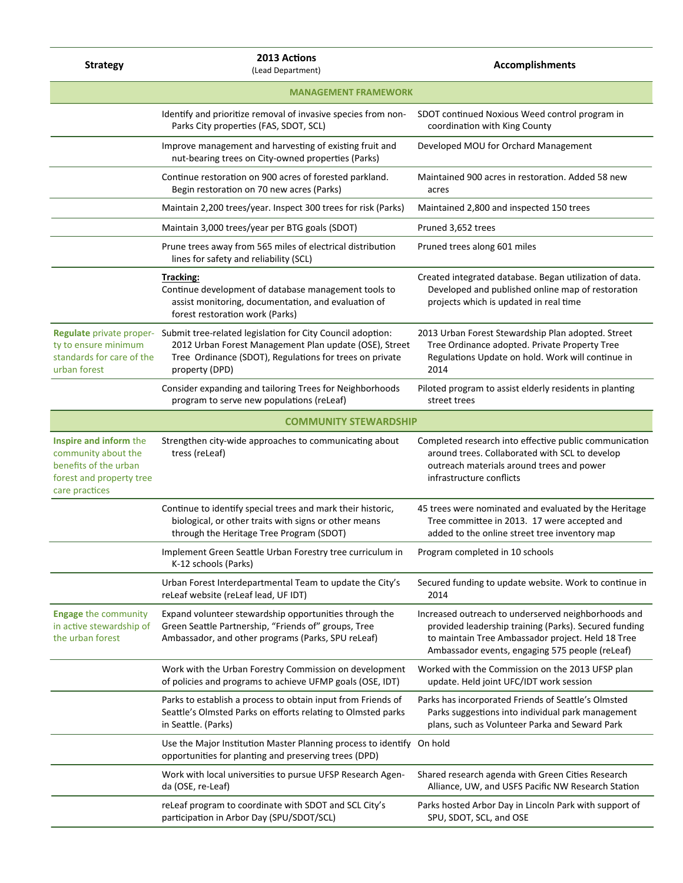| <b>Strategy</b>                                                                                                      | 2013 Actions<br>(Lead Department)                                                                                                                                                                                          | <b>Accomplishments</b>                                                                                                                                                                                               |  |
|----------------------------------------------------------------------------------------------------------------------|----------------------------------------------------------------------------------------------------------------------------------------------------------------------------------------------------------------------------|----------------------------------------------------------------------------------------------------------------------------------------------------------------------------------------------------------------------|--|
| <b>MANAGEMENT FRAMEWORK</b>                                                                                          |                                                                                                                                                                                                                            |                                                                                                                                                                                                                      |  |
|                                                                                                                      | Identify and prioritize removal of invasive species from non-<br>Parks City properties (FAS, SDOT, SCL)                                                                                                                    | SDOT continued Noxious Weed control program in<br>coordination with King County                                                                                                                                      |  |
|                                                                                                                      | Improve management and harvesting of existing fruit and<br>nut-bearing trees on City-owned properties (Parks)                                                                                                              | Developed MOU for Orchard Management                                                                                                                                                                                 |  |
|                                                                                                                      | Continue restoration on 900 acres of forested parkland.<br>Begin restoration on 70 new acres (Parks)                                                                                                                       | Maintained 900 acres in restoration. Added 58 new<br>acres                                                                                                                                                           |  |
|                                                                                                                      | Maintain 2,200 trees/year. Inspect 300 trees for risk (Parks)                                                                                                                                                              | Maintained 2,800 and inspected 150 trees                                                                                                                                                                             |  |
|                                                                                                                      | Maintain 3,000 trees/year per BTG goals (SDOT)                                                                                                                                                                             | Pruned 3,652 trees                                                                                                                                                                                                   |  |
|                                                                                                                      | Prune trees away from 565 miles of electrical distribution<br>lines for safety and reliability (SCL)                                                                                                                       | Pruned trees along 601 miles                                                                                                                                                                                         |  |
|                                                                                                                      | <b>Tracking:</b><br>Continue development of database management tools to<br>assist monitoring, documentation, and evaluation of<br>forest restoration work (Parks)                                                         | Created integrated database. Began utilization of data.<br>Developed and published online map of restoration<br>projects which is updated in real time                                                               |  |
| ty to ensure minimum<br>standards for care of the<br>urban forest                                                    | Regulate private proper- Submit tree-related legislation for City Council adoption:<br>2012 Urban Forest Management Plan update (OSE), Street<br>Tree Ordinance (SDOT), Regulations for trees on private<br>property (DPD) | 2013 Urban Forest Stewardship Plan adopted. Street<br>Tree Ordinance adopted. Private Property Tree<br>Regulations Update on hold. Work will continue in<br>2014                                                     |  |
|                                                                                                                      | Consider expanding and tailoring Trees for Neighborhoods<br>program to serve new populations (reLeaf)                                                                                                                      | Piloted program to assist elderly residents in planting<br>street trees                                                                                                                                              |  |
|                                                                                                                      | <b>COMMUNITY STEWARDSHIP</b>                                                                                                                                                                                               |                                                                                                                                                                                                                      |  |
| Inspire and inform the<br>community about the<br>benefits of the urban<br>forest and property tree<br>care practices | Strengthen city-wide approaches to communicating about<br>tress (reLeaf)                                                                                                                                                   | Completed research into effective public communication<br>around trees. Collaborated with SCL to develop<br>outreach materials around trees and power<br>infrastructure conflicts                                    |  |
|                                                                                                                      | Continue to identify special trees and mark their historic,<br>biological, or other traits with signs or other means<br>through the Heritage Tree Program (SDOT)                                                           | 45 trees were nominated and evaluated by the Heritage<br>Tree committee in 2013. 17 were accepted and<br>added to the online street tree inventory map                                                               |  |
|                                                                                                                      | Implement Green Seattle Urban Forestry tree curriculum in<br>K-12 schools (Parks)                                                                                                                                          | Program completed in 10 schools                                                                                                                                                                                      |  |
|                                                                                                                      | Urban Forest Interdepartmental Team to update the City's<br>reLeaf website (reLeaf lead, UF IDT)                                                                                                                           | Secured funding to update website. Work to continue in<br>2014                                                                                                                                                       |  |
| <b>Engage the community</b><br>in active stewardship of<br>the urban forest                                          | Expand volunteer stewardship opportunities through the<br>Green Seattle Partnership, "Friends of" groups, Tree<br>Ambassador, and other programs (Parks, SPU reLeaf)                                                       | Increased outreach to underserved neighborhoods and<br>provided leadership training (Parks). Secured funding<br>to maintain Tree Ambassador project. Held 18 Tree<br>Ambassador events, engaging 575 people (reLeaf) |  |
|                                                                                                                      | Work with the Urban Forestry Commission on development<br>of policies and programs to achieve UFMP goals (OSE, IDT)                                                                                                        | Worked with the Commission on the 2013 UFSP plan<br>update. Held joint UFC/IDT work session                                                                                                                          |  |
|                                                                                                                      | Parks to establish a process to obtain input from Friends of<br>Seattle's Olmsted Parks on efforts relating to Olmsted parks<br>in Seattle. (Parks)                                                                        | Parks has incorporated Friends of Seattle's Olmsted<br>Parks suggestions into individual park management<br>plans, such as Volunteer Parka and Seward Park                                                           |  |
|                                                                                                                      | Use the Major Institution Master Planning process to identify On hold<br>opportunities for planting and preserving trees (DPD)                                                                                             |                                                                                                                                                                                                                      |  |
|                                                                                                                      | Work with local universities to pursue UFSP Research Agen-<br>da (OSE, re-Leaf)                                                                                                                                            | Shared research agenda with Green Cities Research<br>Alliance, UW, and USFS Pacific NW Research Station                                                                                                              |  |
|                                                                                                                      | reLeaf program to coordinate with SDOT and SCL City's<br>participation in Arbor Day (SPU/SDOT/SCL)                                                                                                                         | Parks hosted Arbor Day in Lincoln Park with support of<br>SPU, SDOT, SCL, and OSE                                                                                                                                    |  |